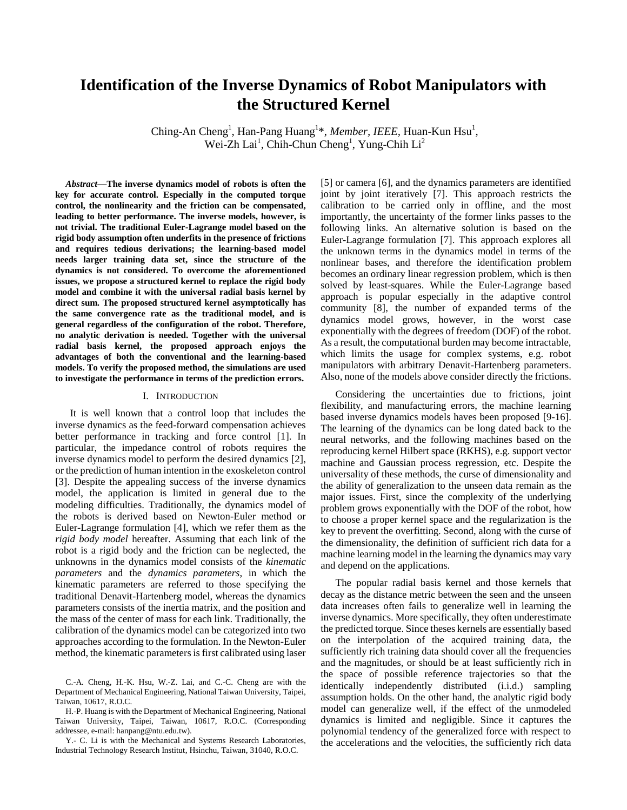# **Identification of the Inverse Dynamics of Robot Manipulators with the Structured Kernel**

Ching-An Cheng<sup>1</sup>, Han-Pang Huang<sup>1</sup>\*, Member, IEEE, Huan-Kun Hsu<sup>1</sup>, Wei-Zh Lai<sup>1</sup>, Chih-Chun Cheng<sup>1</sup>, Yung-Chih Li<sup>2</sup>

*Abstract***—The inverse dynamics model of robots is often the key for accurate control. Especially in the computed torque control, the nonlinearity and the friction can be compensated, leading to better performance. The inverse models, however, is not trivial. The traditional Euler-Lagrange model based on the rigid body assumption often underfits in the presence of frictions and requires tedious derivations; the learning-based model needs larger training data set, since the structure of the dynamics is not considered. To overcome the aforementioned issues, we propose a structured kernel to replace the rigid body model and combine it with the universal radial basis kernel by direct sum. The proposed structured kernel asymptotically has the same convergence rate as the traditional model, and is general regardless of the configuration of the robot. Therefore, no analytic derivation is needed. Together with the universal radial basis kernel, the proposed approach enjoys the advantages of both the conventional and the learning-based models. To verify the proposed method, the simulations are used to investigate the performance in terms of the prediction errors.**

#### I. INTRODUCTION

It is well known that a control loop that includes the inverse dynamics as the feed-forward compensation achieves better performance in tracking and force control [\[1\]](#page-5-0). In particular, the impedance control of robots requires the inverse dynamics model to perform the desired dynamics [\[2\]](#page-5-1), or the prediction of human intention in the exoskeleton control [\[3\]](#page-5-2). Despite the appealing success of the inverse dynamics model, the application is limited in general due to the modeling difficulties. Traditionally, the dynamics model of the robots is derived based on Newton-Euler method or Euler-Lagrange formulation [\[4\]](#page-5-3), which we refer them as the *rigid body model* hereafter. Assuming that each link of the robot is a rigid body and the friction can be neglected, the unknowns in the dynamics model consists of the *kinematic parameters* and the *dynamics parameters*, in which the kinematic parameters are referred to those specifying the traditional Denavit-Hartenberg model, whereas the dynamics parameters consists of the inertia matrix, and the position and the mass of the center of mass for each link. Traditionally, the calibration of the dynamics model can be categorized into two approaches according to the formulation. In the Newton-Euler method, the kinematic parameters is first calibrated using laser

[\[5\]](#page-5-4) or camera [\[6\]](#page-5-5), and the dynamics parameters are identified joint by joint iteratively [\[7\]](#page-5-6). This approach restricts the calibration to be carried only in offline, and the most importantly, the uncertainty of the former links passes to the following links. An alternative solution is based on the Euler-Lagrange formulation [\[7\]](#page-5-6). This approach explores all the unknown terms in the dynamics model in terms of the nonlinear bases, and therefore the identification problem becomes an ordinary linear regression problem, which is then solved by least-squares. While the Euler-Lagrange based approach is popular especially in the adaptive control community [\[8\]](#page-5-7), the number of expanded terms of the dynamics model grows, however, in the worst case exponentially with the degrees of freedom (DOF) of the robot. As a result, the computational burden may become intractable, which limits the usage for complex systems, e.g. robot manipulators with arbitrary Denavit-Hartenberg parameters. Also, none of the models above consider directly the frictions.

Considering the uncertainties due to frictions, joint flexibility, and manufacturing errors, the machine learning based inverse dynamics models haves been proposed [\[9-16\]](#page-5-8). The learning of the dynamics can be long dated back to the neural networks, and the following machines based on the reproducing kernel Hilbert space (RKHS), e.g. support vector machine and Gaussian process regression, etc. Despite the universality of these methods, the curse of dimensionality and the ability of generalization to the unseen data remain as the major issues. First, since the complexity of the underlying problem grows exponentially with the DOF of the robot, how to choose a proper kernel space and the regularization is the key to prevent the overfitting. Second, along with the curse of the dimensionality, the definition of sufficient rich data for a machine learning model in the learning the dynamics may vary and depend on the applications.

The popular radial basis kernel and those kernels that decay as the distance metric between the seen and the unseen data increases often fails to generalize well in learning the inverse dynamics. More specifically, they often underestimate the predicted torque. Since theses kernels are essentially based on the interpolation of the acquired training data, the sufficiently rich training data should cover all the frequencies and the magnitudes, or should be at least sufficiently rich in the space of possible reference trajectories so that the identically independently distributed (i.i.d.) sampling assumption holds. On the other hand, the analytic rigid body model can generalize well, if the effect of the unmodeled dynamics is limited and negligible. Since it captures the polynomial tendency of the generalized force with respect to the accelerations and the velocities, the sufficiently rich data

C.-A. Cheng, H.-K. Hsu, W.-Z. Lai, and C.-C. Cheng are with the Department of Mechanical Engineering, National Taiwan University, Taipei, Taiwan, 10617, R.O.C.

H.-P. Huang is with the Department of Mechanical Engineering, National Taiwan University, Taipei, Taiwan, 10617, R.O.C. (Corresponding addressee, e-mail: hanpang@ntu.edu.tw).

Y.- C. Li is with the Mechanical and Systems Research Laboratories, Industrial Technology Research Institut, Hsinchu, Taiwan, 31040, R.O.C.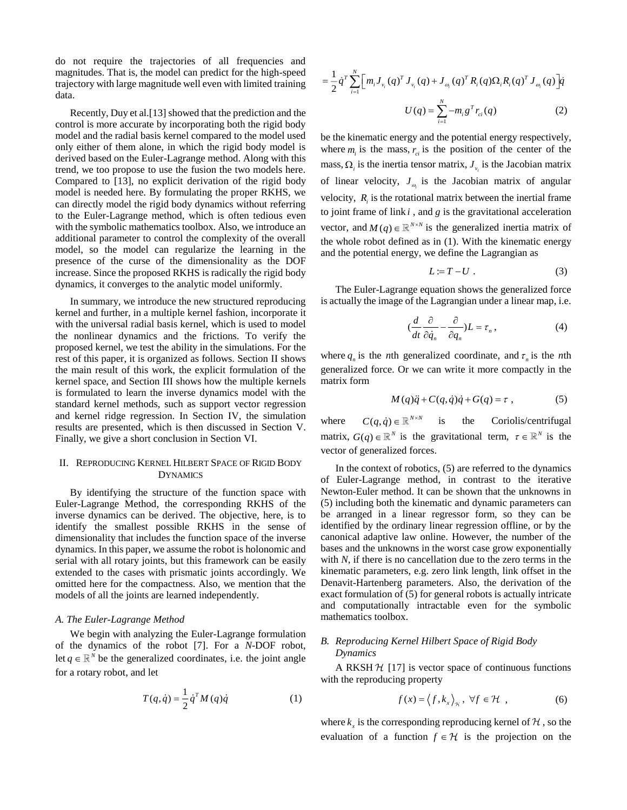do not require the trajectories of all frequencies and magnitudes. That is, the model can predict for the high-speed trajectory with large magnitude well even with limited training data.

Recently, Duy et al.[\[13\]](#page-5-9) showed that the prediction and the control is more accurate by incorporating both the rigid body model and the radial basis kernel compared to the model used only either of them alone, in which the rigid body model is derived based on the Euler-Lagrange method. Along with this trend, we too propose to use the fusion the two models here. Compared to [\[13\]](#page-5-9), no explicit derivation of the rigid body model is needed here. By formulating the proper RKHS, we can directly model the rigid body dynamics without referring to the Euler-Lagrange method, which is often tedious even with the symbolic mathematics toolbox. Also, we introduce an additional parameter to control the complexity of the overall model, so the model can regularize the learning in the presence of the curse of the dimensionality as the DOF increase. Since the proposed RKHS is radically the rigid body dynamics, it converges to the analytic model uniformly.

In summary, we introduce the new structured reproducing kernel and further, in a multiple kernel fashion, incorporate it with the universal radial basis kernel, which is used to model the nonlinear dynamics and the frictions. To verify the proposed kernel, we test the ability in the simulations. For the rest of this paper, it is organized as follows. Section [II](#page-1-0) shows the main result of this work, the explicit formulation of the kernel space, and Section [III](#page-3-0) shows how the multiple kernels is formulated to learn the inverse dynamics model with the standard kernel methods, such as support vector regression and kernel ridge regression. In Section [IV,](#page-3-1) the simulation results are presented, which is then discussed in Section [V.](#page-4-0)  Finally, we give a short conclusion in Section [VI.](#page-5-10)

## <span id="page-1-0"></span>II. REPRODUCING KERNEL HILBERT SPACE OF RIGID BODY DYNAMICS

By identifying the structure of the function space with Euler-Lagrange Method, the corresponding RKHS of the inverse dynamics can be derived. The objective, here, is to identify the smallest possible RKHS in the sense of dimensionality that includes the function space of the inverse dynamics. In this paper, we assume the robot is holonomic and serial with all rotary joints, but this framework can be easily extended to the cases with prismatic joints accordingly. We omitted here for the compactness. Also, we mention that the models of all the joints are learned independently.

## *A. The Euler-Lagrange Method*

We begin with analyzing the Euler-Lagrange formulation of the dynamics of the robot [\[7\]](#page-5-6). For a *N*-DOF robot, let  $q \in \mathbb{R}^N$  be the generalized coordinates, i.e. the joint angle for a rotary robot, and let

$$
T(q, \dot{q}) = \frac{1}{2} \dot{q}^T M(q) \dot{q}
$$
 (1)

$$
= \frac{1}{2} \dot{q}^{T} \sum_{i=1}^{N} \Big[ m_{i} J_{v_{i}}(q)^{T} J_{v_{i}}(q) + J_{\omega_{i}}(q)^{T} R_{i}(q) \Omega_{i} R_{i}(q)^{T} J_{\omega_{i}}(q) \Big] \dot{q}
$$

$$
U(q) = \sum_{i=1}^{N} -m_{i} g^{T} r_{ci}(q)
$$
(2)

be the kinematic energy and the potential energy respectively, where  $m_i$  is the mass,  $r_{ci}$  is the position of the center of the mass,  $\Omega_i$  is the inertia tensor matrix,  $J_{\nu_i}$  is the Jacobian matrix of linear velocity,  $J_{\omega_i}$  is the Jacobian matrix of angular velocity,  $R_i$  is the rotational matrix between the inertial frame to joint frame of link  $i$ , and  $g$  is the gravitational acceleration vector, and  $M(q) \in \mathbb{R}^{N \times N}$  is the generalized inertia matrix of the whole robot defined as in (1). With the kinematic energy and the potential energy, we define the Lagrangian as

$$
L := T - U \tag{3}
$$

The Euler-Lagrange equation shows the generalized force is actually the image of the Lagrangian under a linear map, i.e.

$$
(\frac{d}{dt}\frac{\partial}{\partial \dot{q}_n} - \frac{\partial}{\partial q_n})L = \tau_n, \qquad (4)
$$

where  $q_n$  is the *n*th generalized coordinate, and  $\tau_n$  is the *n*th generalized force. Or we can write it more compactly in the matrix form

$$
M(q)\ddot{q} + C(q,\dot{q})\dot{q} + G(q) = \tau , \qquad (5)
$$

where  $C(q , \dot q) \in \mathbb{R}^{\scriptscriptstyle N \times N}$ is the Coriolis/centrifugal matrix,  $G(q) \in \mathbb{R}^N$  is the gravitational term,  $\tau \in \mathbb{R}^N$  is the vector of generalized forces.

In the context of robotics, (5) are referred to the dynamics of Euler-Lagrange method, in contrast to the iterative Newton-Euler method. It can be shown that the unknowns in (5) including both the kinematic and dynamic parameters can be arranged in a linear regressor form, so they can be identified by the ordinary linear regression offline, or by the canonical adaptive law online. However, the number of the bases and the unknowns in the worst case grow exponentially with *N*, if there is no cancellation due to the zero terms in the kinematic parameters, e.g. zero link length, link offset in the Denavit-Hartenberg parameters. Also, the derivation of the exact formulation of (5) for general robots is actually intricate and computationally intractable even for the symbolic mathematics toolbox.

## *B. Reproducing Kernel Hilbert Space of Rigid Body Dynamics*

A RKSH $H$  [\[17\]](#page-5-11) is vector space of continuous functions with the reproducing property

$$
f(x) = \langle f, k_x \rangle_{\mathcal{H}}, \ \forall f \in \mathcal{H}, \tag{6}
$$

where  $k_{x}$  is the corresponding reproducing kernel of  $H$ , so the evaluation of a function  $f \in \mathcal{H}$  is the projection on the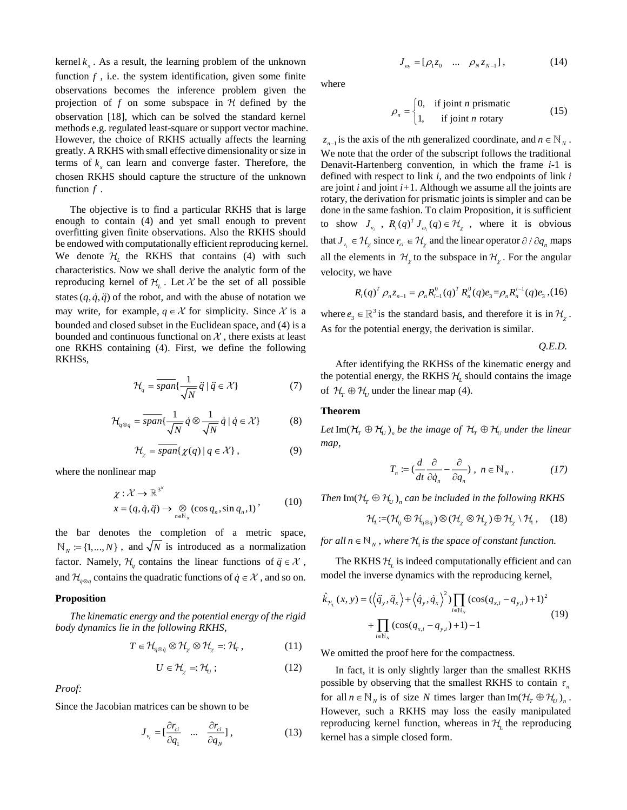kernel  $k<sub>x</sub>$ . As a result, the learning problem of the unknown function  $f$ , i.e. the system identification, given some finite observations becomes the inference problem given the projection of  $f$  on some subspace in  $H$  defined by the observation [\[18\]](#page-5-12), which can be solved the standard kernel methods e.g. regulated least-square or support vector machine. However, the choice of RKHS actually affects the learning greatly. A RKHS with small effective dimensionality or size in terms of  $k<sub>x</sub>$  can learn and converge faster. Therefore, the chosen RKHS should capture the structure of the unknown function *f* .

The objective is to find a particular RKHS that is large enough to contain (4) and yet small enough to prevent overfitting given finite observations. Also the RKHS should be endowed with computationally efficient reproducing kernel. We denote  $\mathcal{H}_L$  the RKHS that contains (4) with such characteristics. Now we shall derive the analytic form of the reproducing kernel of  $\mathcal{H}_L$ . Let  $\mathcal X$  be the set of all possible states  $(q, \dot{q}, \ddot{q})$  of the robot, and with the abuse of notation we may write, for example,  $q \in \mathcal{X}$  for simplicity. Since  $\mathcal{X}$  is a bounded and closed subset in the Euclidean space, and (4) is a bounded and continuous functional on  $X$ , there exists at least one RKHS containing (4). First, we define the following RKHSs,

$$
\mathcal{H}_{\dot{q}} = \overline{span}\{\frac{1}{\sqrt{N}}\,\ddot{q}\mid \ddot{q} \in \mathcal{X}\}\tag{7}
$$

$$
\mathcal{H}_{q \otimes q} = \overline{span} \{ \frac{1}{\sqrt{N}} \dot{q} \otimes \frac{1}{\sqrt{N}} \dot{q} \mid \dot{q} \in \mathcal{X} \}
$$
(8)

$$
\mathcal{H}_{\chi} = \overline{span}\{\chi(q) | q \in \mathcal{X}\},\tag{9}
$$

where the nonlinear map

$$
\chi: \mathcal{X} \to \mathbb{R}^{3^N}
$$
  

$$
x = (q, \dot{q}, \ddot{q}) \to \bigotimes_{n \in \mathbb{N}_N} (\cos q_n, \sin q_n, 1)
$$
 (10)

the bar denotes the completion of a metric space,  $N_i := \{1, ..., N\}$ , and  $\sqrt{N}$  is introduced as a normalization factor. Namely,  $\mathcal{H}_{\dot{q}}$  contains the linear functions of  $\ddot{q} \in \mathcal{X}$ , and  $\mathcal{H}_{q\otimes q}$  contains the quadratic functions of  $\dot{q} \in \mathcal{X}$ , and so on.

#### **Proposition**

*The kinematic energy and the potential energy of the rigid body dynamics lie in the following RKHS,*

$$
T \in \mathcal{H}_{q \otimes q} \otimes \mathcal{H}_{\chi} \otimes \mathcal{H}_{\chi} =: \mathcal{H}_{T}, \tag{11}
$$

$$
U \in \mathcal{H}_\chi = \mathcal{H}_U ; \tag{12}
$$

*Proof:*

Since the Jacobian matrices can be shown to be

$$
J_{v_i} = \left[\frac{\partial r_{ci}}{\partial q_1} \quad \cdots \quad \frac{\partial r_{ci}}{\partial q_N}\right],\tag{13}
$$

$$
J_{\omega_i} = [\rho_1 z_0 \quad \dots \quad \rho_N z_{N-1}], \tag{14}
$$

where

$$
\rho_n = \begin{cases} 0, & \text{if joint } n \text{ prismatic} \\ 1, & \text{if joint } n \text{ rotary} \end{cases} \tag{15}
$$

 $z_{n-1}$  is the axis of the *n*th generalized coordinate, and  $n \in \mathbb{N}_N$ . We note that the order of the subscript follows the traditional Denavit-Hartenberg convention, in which the frame *i*-1 is defined with respect to link *i*, and the two endpoints of link *i* are joint *i* and joint *i+*1. Although we assume all the joints are rotary, the derivation for prismatic joints is simpler and can be done in the same fashion. To claim Proposition, it is sufficient to show  $J_{v_i}$ ,  $R_i(q)^T J_{\omega_i}(q)$  $R_i(q)^T J_{\omega_i}(q) \in \mathcal{H}_{\chi}$ , where it is obvious that  $J_{v_i} \in \mathcal{H}_{\chi}$  since  $r_{ci} \in \mathcal{H}_{\chi}$  and the linear operator  $\partial / \partial q_n$  maps all the elements in  $\mathcal{H}_{\chi}$  to the subspace in  $\mathcal{H}_{\chi}$ . For the angular velocity, we have

$$
R_i(q)^T \rho_n z_{n-1} = \rho_n R_{i-1}^0(q)^T R_n^0(q) e_3 = \rho_n R_n^{i-1}(q) e_3, (16)
$$

where  $e_3 \in \mathbb{R}^3$  is the standard basis, and therefore it is in  $\mathcal{H}_\chi$ . As for the potential energy, the derivation is similar.

*Q.E.D.*

After identifying the RKHSs of the kinematic energy and the potential energy, the RKHS  $H<sub>L</sub>$  should contains the image of  $\mathcal{H}_{T} \oplus \mathcal{H}_{U}$  under the linear map (4).

## **Theorem**

Let Im( $\mathcal{H}_T \oplus \mathcal{H}_U$ )<sub>n</sub> be the image of  $\mathcal{H}_T \oplus \mathcal{H}_U$  under the linear *map,* 

$$
T_n := \left(\frac{d}{dt}\frac{\partial}{\partial \dot{q}_n} - \frac{\partial}{\partial q_n}\right), \quad n \in \mathbb{N}_N. \tag{17}
$$

*Then*  $\text{Im}(\mathcal{H}_{T} \oplus \mathcal{H}_{U})_{n}$  can be included in the following RKHS

$$
\mathcal{H}_L := (\mathcal{H}_{\ddot{q}} \oplus \mathcal{H}_{\dot{q} \otimes \dot{q}}) \otimes (\mathcal{H}_{\chi} \otimes \mathcal{H}_{\chi}) \oplus \mathcal{H}_{\chi} \setminus \mathcal{H}_1, \quad (18)
$$

*for all*  $n \in \mathbb{N}_N$ , where  $\mathcal{H}_1$  *is the space of constant function.* 

The RKHS  $\mathcal{H}_L$  is indeed computationally efficient and can model the inverse dynamics with the reproducing kernel,

$$
\hat{k}_{\mathcal{H}_L}(x, y) = (\langle \ddot{q}_y, \ddot{q}_x \rangle + \langle \dot{q}_y, \dot{q}_x \rangle^2) \prod_{i \in \mathbb{N}_N} (\cos(q_{x,i} - q_{y,i}) + 1)^2
$$
\n
$$
+ \prod_{i \in \mathbb{N}_N} (\cos(q_{x,i} - q_{y,i}) + 1) - 1
$$
\n(19)

We omitted the proof here for the compactness.

In fact, it is only slightly larger than the smallest RKHS possible by observing that the smallest RKHS to contain  $\tau_n$ for all  $n \in \mathbb{N}_N$  is of size *N* times larger than  $\text{Im}(\mathcal{H}_T \oplus \mathcal{H}_U)_n$ . However, such a RKHS may loss the easily manipulated reproducing kernel function, whereas in  $\mathcal{H}_L$  the reproducing kernel has a simple closed form.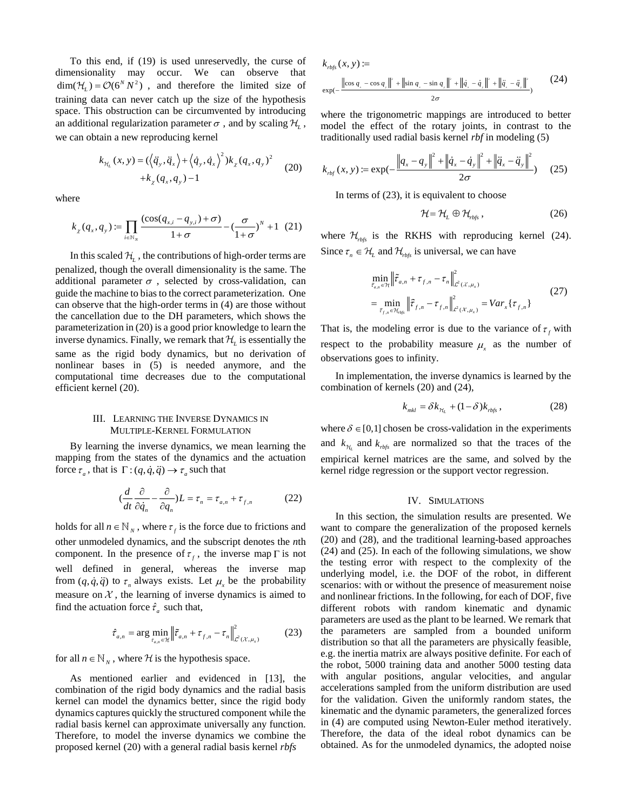To this end, if (19) is used unreservedly, the curse of dimensionality may occur. We can observe that  $\dim(\mathcal{H}_L) = \mathcal{O}(6^N N^2)$ , and therefore the limited size of training data can never catch up the size of the hypothesis space. This obstruction can be circumvented by introducing an additional regularization parameter  $\sigma$ , and by scaling  $\mathcal{H}_L$ , we can obtain a new reproducing kernel

$$
k_{\mathcal{H}_L}(x, y) = (\langle \ddot{q}_y, \ddot{q}_x \rangle + \langle \dot{q}_y, \dot{q}_x \rangle^2) k_x (q_x, q_y)^2 + k_x (q_x, q_y) - 1
$$
 (20)

where

$$
k_{\chi}(q_{x}, q_{y}) \coloneqq \prod_{i \in \mathbb{N}_{N}} \frac{(\cos(q_{x,i} - q_{y,i}) + \sigma)}{1 + \sigma} - \left(\frac{\sigma}{1 + \sigma}\right)^{N} + 1 \tag{21}
$$

In this scaled  $\mathcal{H}_L$ , the contributions of high-order terms are penalized, though the overall dimensionality is the same. The additional parameter  $\sigma$ , selected by cross-validation, can guide the machine to bias to the correct parameterization. One can observe that the high-order terms in (4) are those without the cancellation due to the DH parameters, which shows the parameterization in (20) is a good prior knowledge to learn the inverse dynamics. Finally, we remark that  $\mathcal{H}_L$  is essentially the same as the rigid body dynamics, but no derivation of nonlinear bases in (5) is needed anymore, and the computational time decreases due to the computational efficient kernel (20).

## III. LEARNING THE INVERSE DYNAMICS IN MULTIPLE-KERNEL FORMULATION

<span id="page-3-0"></span>By learning the inverse dynamics, we mean learning the mapping from the states of the dynamics and the actuation force  $\tau_a$ , that is  $\Gamma$  :  $(q, \dot{q}, \ddot{q}) \rightarrow \tau_a$  such that

$$
(\frac{d}{dt}\frac{\partial}{\partial \dot{q}_n} - \frac{\partial}{\partial q_n})L = \tau_n = \tau_{a,n} + \tau_{f,n}
$$
 (22)

holds for all  $n \in \mathbb{N}_N$ , where  $\tau_f$  is the force due to frictions and other unmodeled dynamics, and the subscript denotes the *n*th component. In the presence of  $\tau_f$ , the inverse map  $\Gamma$  is not well defined in general, whereas the inverse map from  $(q, \dot{q}, \ddot{q})$  to  $\tau_n$  always exists. Let  $\mu_x$  be the probability measure on  $X$ , the learning of inverse dynamics is aimed to find the actuation force  $\hat{\tau}_a$  such that,

$$
\hat{\tau}_{a,n} = \arg\min_{\tilde{\tau}_{a,n}\in\mathcal{H}} \left\| \tilde{\tau}_{a,n} + \tau_{f,n} - \tau_n \right\|_{\mathcal{L}^2(\mathcal{X},\mu_x)}^2 \tag{23}
$$

for all  $n \in \mathbb{N}_N$ , where  $\mathcal H$  is the hypothesis space.

As mentioned earlier and evidenced in [\[13\]](#page-5-9), the combination of the rigid body dynamics and the radial basis kernel can model the dynamics better, since the rigid body dynamics captures quickly the structured component while the radial basis kernel can approximate universally any function. Therefore, to model the inverse dynamics we combine the proposed kernel (20) with a general radial basis kernel *rbfs*

$$
k_{rbfs}(x, y) :=
$$
  
\n
$$
\exp(-\frac{\|\cos q_{,} - \cos q_{,}\|^{2} + \|\sin q_{,} - \sin q_{,}\|^{2} + \| \dot{q}_{,} - \dot{q}_{,}\|^{2} + \| \ddot{q}_{,} - \ddot{q}_{,}\|^{2})}{2\sigma})
$$
\n(24)

where the trigonometric mappings are introduced to better model the effect of the rotary joints, in contrast to the traditionally used radial basis kernel *rbf* in modeling (5)

$$
k_{\text{rbf}}(x, y) := \exp(-\frac{\left\|q_x - q_y\right\|^2 + \left\|\dot{q}_x - \dot{q}_y\right\|^2 + \left\|\ddot{q}_x - \ddot{q}_y\right\|^2}{2\sigma}) \tag{25}
$$

In terms of (23), it is equivalent to choose

$$
\mathcal{H} = \mathcal{H}_L \oplus \mathcal{H}_{\text{rbfs}} \,, \tag{26}
$$

where  $\mathcal{H}_{\text{rbfs}}$  is the RKHS with reproducing kernel (24). Since  $\tau_n \in \mathcal{H}_L$  and  $\mathcal{H}_{\text{rbfs}}$  is universal, we can have

$$
\min_{\tilde{\tau}_{a,n}\in\mathcal{H}} \left\| \tilde{\tau}_{a,n} + \tau_{f,n} - \tau_n \right\|_{\mathcal{L}^2(\mathcal{X},\mu_x)}^2
$$
\n
$$
= \min_{\tilde{\tau}_{f,n}\in\mathcal{H}_{hfs}} \left\| \tilde{\tau}_{f,n} - \tau_{f,n} \right\|_{\mathcal{L}^2(\mathcal{X},\mu_x)}^2 = Var_x\{\tau_{f,n}\}
$$
\n(27)

That is, the modeling error is due to the variance of  $\tau_f$  with respect to the probability measure  $\mu_{\rm x}$  as the number of observations goes to infinity.

In implementation, the inverse dynamics is learned by the combination of kernels (20) and (24),

$$
k_{mkl} = \delta k_{\mathcal{H}_L} + (1 - \delta) k_{\text{rbfs}},\tag{28}
$$

where  $\delta \in [0,1]$  chosen be cross-validation in the experiments and  $k_{\mathcal{H}_t}$  and  $k_{\mathit{rbfs}}$  are normalized so that the traces of the empirical kernel matrices are the same, and solved by the kernel ridge regression or the support vector regression.

### IV. SIMULATIONS

<span id="page-3-1"></span>In this section, the simulation results are presented. We want to compare the generalization of the proposed kernels (20) and (28), and the traditional learning-based approaches (24) and (25). In each of the following simulations, we show the testing error with respect to the complexity of the underlying model, i.e. the DOF of the robot, in different scenarios: with or without the presence of measurement noise and nonlinear frictions. In the following, for each of DOF, five different robots with random kinematic and dynamic parameters are used as the plant to be learned. We remark that the parameters are sampled from a bounded uniform distribution so that all the parameters are physically feasible, e.g. the inertia matrix are always positive definite. For each of the robot, 5000 training data and another 5000 testing data with angular positions, angular velocities, and angular accelerations sampled from the uniform distribution are used for the validation. Given the uniformly random states, the kinematic and the dynamic parameters, the generalized forces in (4) are computed using Newton-Euler method iteratively. Therefore, the data of the ideal robot dynamics can be obtained. As for the unmodeled dynamics, the adopted noise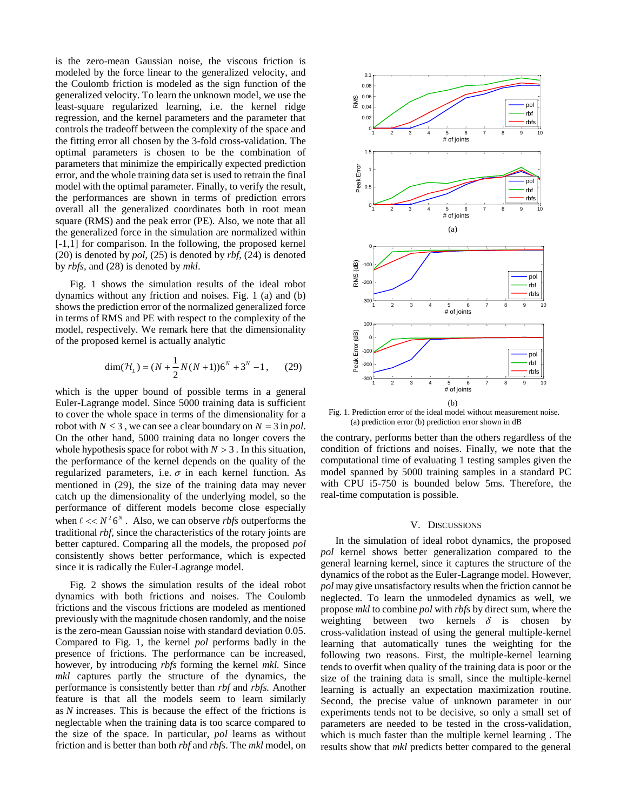is the zero-mean Gaussian noise, the viscous friction is modeled by the force linear to the generalized velocity, and the Coulomb friction is modeled as the sign function of the generalized velocity. To learn the unknown model, we use the least-square regularized learning, i.e. the kernel ridge regression, and the kernel parameters and the parameter that controls the tradeoff between the complexity of the space and the fitting error all chosen by the 3-fold cross-validation. The optimal parameters is chosen to be the combination of parameters that minimize the empirically expected prediction error, and the whole training data set is used to retrain the final model with the optimal parameter. Finally, to verify the result, the performances are shown in terms of prediction errors overall all the generalized coordinates both in root mean square (RMS) and the peak error (PE). Also, we note that all the generalized force in the simulation are normalized within [-1,1] for comparison. In the following, the proposed kernel (20) is denoted by *pol*, (25) is denoted by *rbf*, (24) is denoted by *rbfs,* and (28) is denoted by *mkl*.

[Fig. 1](#page-4-1) shows the simulation results of the ideal robot dynamics without any friction and noises. [Fig. 1](#page-4-1) (a) and (b) shows the prediction error of the normalized generalized force in terms of RMS and PE with respect to the complexity of the model, respectively. We remark here that the dimensionality of the proposed kernel is actually analytic

$$
\dim(\mathcal{H}_L) = (N + \frac{1}{2}N(N+1))6^N + 3^N - 1, \qquad (29)
$$

which is the upper bound of possible terms in a general Euler-Lagrange model. Since 5000 training data is sufficient to cover the whole space in terms of the dimensionality for a robot with  $N \leq 3$ , we can see a clear boundary on  $N = 3$  in pol. On the other hand, 5000 training data no longer covers the whole hypothesis space for robot with  $N > 3$ . In this situation, the performance of the kernel depends on the quality of the regularized parameters, i.e.  $\sigma$  in each kernel function. As mentioned in (29), the size of the training data may never catch up the dimensionality of the underlying model, so the performance of different models become close especially when  $\ell \ll N^2 6^N$ . Also, we can observe *rbfs* outperforms the traditional *rbf*, since the characteristics of the rotary joints are better captured. Comparing all the models, the proposed *pol* consistently shows better performance, which is expected since it is radically the Euler-Lagrange model.

[Fig. 2](#page-5-13) shows the simulation results of the ideal robot dynamics with both frictions and noises. The Coulomb frictions and the viscous frictions are modeled as mentioned previously with the magnitude chosen randomly, and the noise is the zero-mean Gaussian noise with standard deviation 0.05. Compared to [Fig. 1,](#page-4-1) the kernel *pol* performs badly in the presence of frictions. The performance can be increased, however, by introducing *rbfs* forming the kernel *mkl.* Since *mkl* captures partly the structure of the dynamics, the performance is consistently better than *rbf* and *rbfs.* Another feature is that all the models seem to learn similarly as *N* increases. This is because the effect of the frictions is neglectable when the training data is too scarce compared to the size of the space. In particular, *pol* learns as without friction and is better than both *rbf* and *rbfs*. The *mkl* model, on



<span id="page-4-1"></span>Fig. 1. Prediction error of the ideal model without measurement noise. (a) prediction error (b) prediction error shown in dB

the contrary, performs better than the others regardless of the condition of frictions and noises. Finally, we note that the computational time of evaluating 1 testing samples given the model spanned by 5000 training samples in a standard PC with CPU i5-750 is bounded below 5ms. Therefore, the real-time computation is possible.

### V. DISCUSSIONS

<span id="page-4-0"></span>In the simulation of ideal robot dynamics, the proposed *pol* kernel shows better generalization compared to the general learning kernel, since it captures the structure of the dynamics of the robot as the Euler-Lagrange model. However, *pol* may give unsatisfactory results when the friction cannot be neglected. To learn the unmodeled dynamics as well, we propose *mkl* to combine *pol* with *rbfs* by direct sum, where the weighting between two kernels  $\delta$  is chosen by cross-validation instead of using the general multiple-kernel learning that automatically tunes the weighting for the following two reasons. First, the multiple-kernel learning tends to overfit when quality of the training data is poor or the size of the training data is small, since the multiple-kernel learning is actually an expectation maximization routine. Second, the precise value of unknown parameter in our experiments tends not to be decisive, so only a small set of parameters are needed to be tested in the cross-validation, which is much faster than the multiple kernel learning . The results show that *mkl* predicts better compared to the general